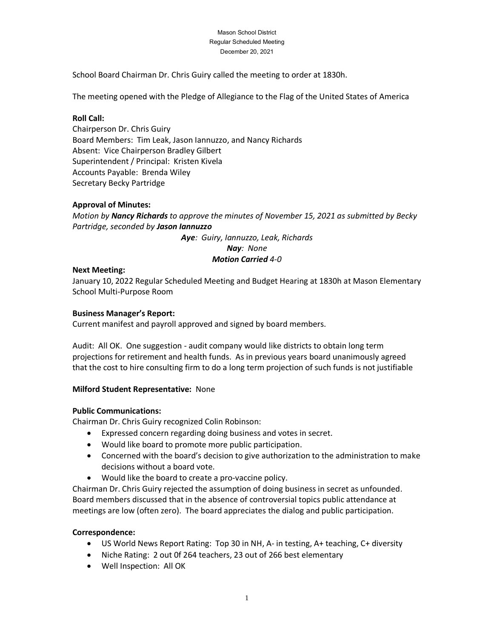#### Mason School District Regular Scheduled Meeting December 20, 2021

School Board Chairman Dr. Chris Guiry called the meeting to order at 1830h.

The meeting opened with the Pledge of Allegiance to the Flag of the United States of America

## **Roll Call:**

Chairperson Dr. Chris Guiry Board Members: Tim Leak, Jason Iannuzzo, and Nancy Richards Absent: Vice Chairperson Bradley Gilbert Superintendent / Principal: Kristen Kivela Accounts Payable: Brenda Wiley Secretary Becky Partridge

## **Approval of Minutes:**

*Motion by Nancy Richards to approve the minutes of November 15, 2021 as submitted by Becky Partridge, seconded by Jason Iannuzzo*

*Aye: Guiry, Iannuzzo, Leak, Richards*

*Nay: None*

### *Motion Carried 4-0*

### **Next Meeting:**

January 10, 2022 Regular Scheduled Meeting and Budget Hearing at 1830h at Mason Elementary School Multi-Purpose Room

### **Business Manager's Report:**

Current manifest and payroll approved and signed by board members.

Audit: All OK. One suggestion - audit company would like districts to obtain long term projections for retirement and health funds. As in previous years board unanimously agreed that the cost to hire consulting firm to do a long term projection of such funds is not justifiable

## **Milford Student Representative:** None

## **Public Communications:**

Chairman Dr. Chris Guiry recognized Colin Robinson:

- Expressed concern regarding doing business and votes in secret.
- Would like board to promote more public participation.
- Concerned with the board's decision to give authorization to the administration to make decisions without a board vote.
- Would like the board to create a pro-vaccine policy.

Chairman Dr. Chris Guiry rejected the assumption of doing business in secret as unfounded. Board members discussed that in the absence of controversial topics public attendance at meetings are low (often zero). The board appreciates the dialog and public participation.

#### **Correspondence:**

- US World News Report Rating: Top 30 in NH, A- in testing, A+ teaching, C+ diversity
- Niche Rating: 2 out 0f 264 teachers, 23 out of 266 best elementary
- Well Inspection: All OK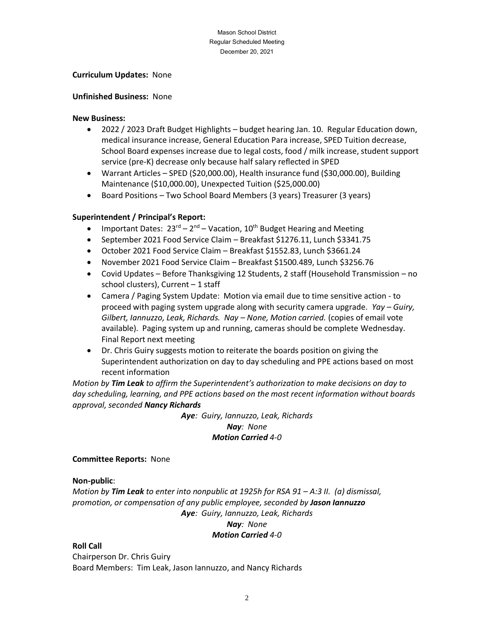#### Mason School District Regular Scheduled Meeting December20, 2021

### **Curriculum Updates:** None

### **Unfinished Business:** None

### **New Business:**

- 2022 / 2023 Draft Budget Highlights budget hearing Jan. 10. Regular Education down, medical insurance increase, General Education Para increase, SPED Tuition decrease, School Board expenses increase due to legal costs, food / milk increase, student support service (pre-K) decrease only because half salary reflected in SPED
- Warrant Articles SPED (\$20,000.00), Health insurance fund (\$30,000.00), Building Maintenance (\$10,000.00), Unexpected Tuition (\$25,000.00)
- Board Positions Two School Board Members (3 years) Treasurer (3 years)

## **Superintendent / Principal's Report:**

- Important Dates:  $23^{rd}-2^{nd}-V$ acation,  $10^{th}$  Budget Hearing and Meeting
- September 2021 Food Service Claim Breakfast \$1276.11, Lunch \$3341.75
- October 2021 Food Service Claim Breakfast \$1552.83, Lunch \$3661.24
- November 2021 Food Service Claim Breakfast \$1500.489, Lunch \$3256.76
- Covid Updates Before Thanksgiving 12 Students, 2 staff (Household Transmission no school clusters), Current – 1 staff
- Camera / Paging System Update: Motion via email due to time sensitive action to proceed with paging system upgrade along with security camera upgrade. *Yay – Guiry, Gilbert, Iannuzzo, Leak, Richards. Nay – None, Motion carried.* (copies of email vote available). Paging system up and running, cameras should be complete Wednesday. Final Report next meeting
- Dr. Chris Guiry suggests motion to reiterate the boards position on giving the Superintendent authorization on day to day scheduling and PPE actions based on most recent information

*Motion by Tim Leak to affirm the Superintendent's authorization to make decisions on day to day scheduling, learning, and PPE actions based on the most recent information without boards approval, seconded Nancy Richards*

> *Aye: Guiry, Iannuzzo, Leak, Richards Nay: None Motion Carried 4-0*

## **Committee Reports:** None

#### **Non-public**:

*Motion by Tim Leak to enter into nonpublic at 1925h for RSA 91 – A:3 II. (a) dismissal, promotion, or compensation of any public employee, seconded by Jason Iannuzzo Aye: Guiry, Iannuzzo, Leak, Richards Nay: None*

## *Motion Carried 4-0*

## **Roll Call**

Chairperson Dr. Chris Guiry Board Members: Tim Leak, Jason Iannuzzo, and Nancy Richards